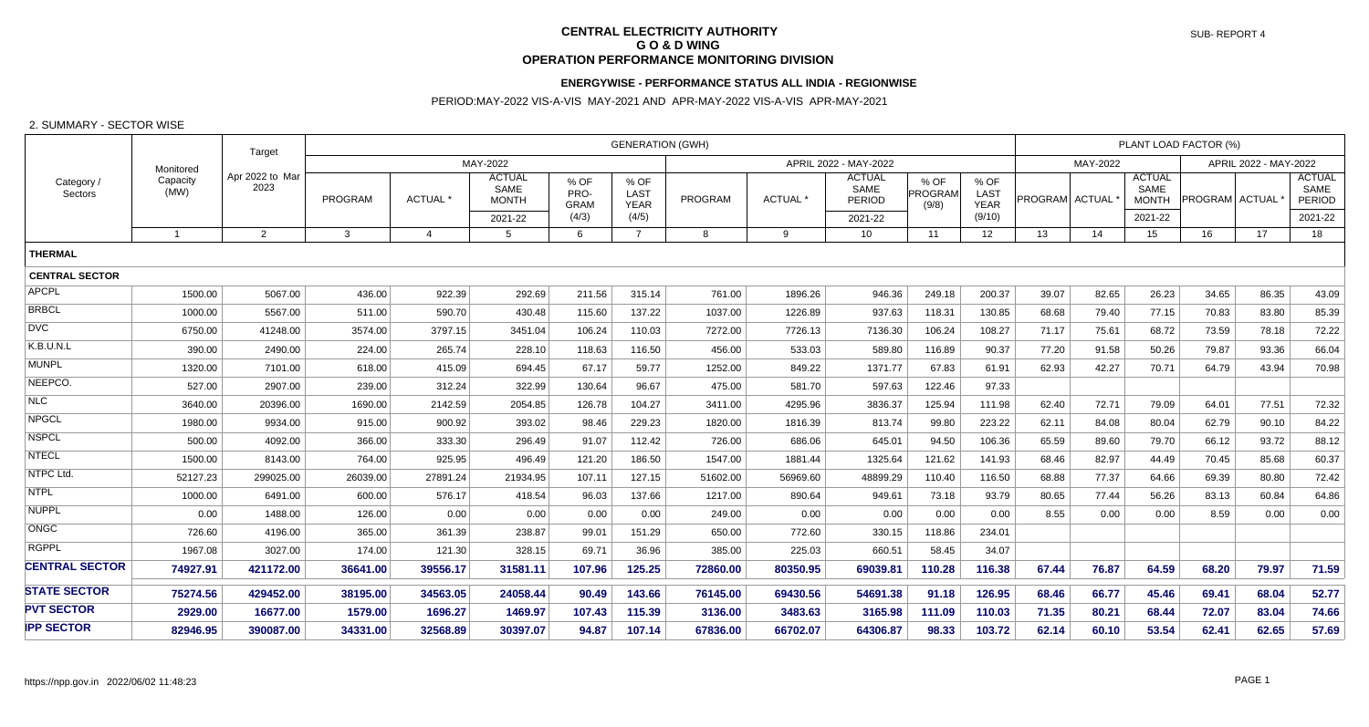# **CENTRAL ELECTRICITY AUTHORITY G O & D WING OPERATION PERFORMANCE MONITORING DIVISION**

## **ENERGYWISE - PERFORMANCE STATUS ALL INDIA - REGIONWISE**

## PERIOD:MAY-2022 VIS-A-VIS MAY-2021 AND APR-MAY-2022 VIS-A-VIS APR-MAY-2021

#### 2. SUMMARY - SECTOR WISE

| Category<br>Sectors   | Monitored<br>Capacity<br>(MW) | Target                  | <b>GENERATION (GWH)</b> |          |                 |                                       |                             |                             |          |                 |                                 |                          | PLANT LOAD FACTOR (%)       |                  |                       |                                       |                       |         |                                        |
|-----------------------|-------------------------------|-------------------------|-------------------------|----------|-----------------|---------------------------------------|-----------------------------|-----------------------------|----------|-----------------|---------------------------------|--------------------------|-----------------------------|------------------|-----------------------|---------------------------------------|-----------------------|---------|----------------------------------------|
|                       |                               |                         | MAY-2022                |          |                 |                                       |                             | APRIL 2022 - MAY-2022       |          |                 |                                 |                          |                             | MAY-2022         | APRIL 2022 - MAY-2022 |                                       |                       |         |                                        |
|                       |                               | Apr 2022 to Mar<br>2023 |                         | PROGRAM  | ACTUAL*         | <b>ACTUAL</b><br>SAME<br><b>MONTH</b> | % OF<br>PRO-<br><b>GRAM</b> | % OF<br>LAST<br><b>YEAR</b> | PROGRAM  | <b>ACTUAL</b> * | <b>ACTUAL</b><br>SAME<br>PERIOD | % OF<br>PROGRAM<br>(9/8) | % OF<br>LAST<br><b>YEAR</b> | PROGRAM ACTUAL * |                       | <b>ACTUAL</b><br>SAME<br><b>MONTH</b> | <b>PROGRAM</b> ACTUAL |         | <b>ACTUAL</b><br>SAME<br><b>PERIOD</b> |
|                       |                               |                         |                         |          | 2021-22         | (4/3)                                 | (4/5)                       |                             |          | 2021-22         |                                 | (9/10)                   |                             |                  | 2021-22               |                                       |                       | 2021-22 |                                        |
|                       | $\overline{1}$                | 2                       | $\mathbf{3}$            |          | $5\overline{)}$ | 6                                     | $\overline{7}$              | 8                           | 9        | 10              | 11                              | 12                       | 13                          | 14               | 15 <sup>15</sup>      | 16                                    | 17                    | 18      |                                        |
| <b>THERMAL</b>        |                               |                         |                         |          |                 |                                       |                             |                             |          |                 |                                 |                          |                             |                  |                       |                                       |                       |         |                                        |
| <b>CENTRAL SECTOR</b> |                               |                         |                         |          |                 |                                       |                             |                             |          |                 |                                 |                          |                             |                  |                       |                                       |                       |         |                                        |
| <b>APCPL</b>          | 1500.00                       | 5067.00                 | 436.00                  | 922.39   | 292.69          | 211.56                                | 315.14                      | 761.00                      | 1896.26  | 946.36          | 249.18                          | 200.37                   | 39.07                       | 82.65            | 26.23                 | 34.65                                 | 86.35                 | 43.09   |                                        |
| <b>BRBCL</b>          | 1000.00                       | 5567.00                 | 511.00                  | 590.70   | 430.48          | 115.60                                | 137.22                      | 1037.00                     | 1226.89  | 937.63          | 118.31                          | 130.85                   | 68.68                       | 79.40            | 77.15                 | 70.83                                 | 83.80                 | 85.39   |                                        |
| <b>DVC</b>            | 6750.00                       | 41248.00                | 3574.00                 | 3797.15  | 3451.04         | 106.24                                | 110.03                      | 7272.00                     | 7726.13  | 7136.30         | 106.24                          | 108.27                   | 71.17                       | 75.61            | 68.72                 | 73.59                                 | 78.18                 | 72.22   |                                        |
| K.B.U.N.L             | 390.00                        | 2490.00                 | 224.00                  | 265.74   | 228.10          | 118.63                                | 116.50                      | 456.00                      | 533.03   | 589.80          | 116.89                          | 90.37                    | 77.20                       | 91.58            | 50.26                 | 79.87                                 | 93.36                 | 66.04   |                                        |
| <b>MUNPL</b>          | 1320.00                       | 7101.00                 | 618.00                  | 415.09   | 694.45          | 67.17                                 | 59.77                       | 1252.00                     | 849.22   | 1371.77         | 67.83                           | 61.91                    | 62.93                       | 42.27            | 70.71                 | 64.79                                 | 43.94                 | 70.98   |                                        |
| NEEPCO.               | 527.00                        | 2907.00                 | 239.00                  | 312.24   | 322.99          | 130.64                                | 96.67                       | 475.00                      | 581.70   | 597.63          | 122.46                          | 97.33                    |                             |                  |                       |                                       |                       |         |                                        |
| <b>NLC</b>            | 3640.00                       | 20396.00                | 1690.00                 | 2142.59  | 2054.85         | 126.78                                | 104.27                      | 3411.00                     | 4295.96  | 3836.37         | 125.94                          | 111.98                   | 62.40                       | 72.71            | 79.09                 | 64.01                                 | 77.51                 | 72.32   |                                        |
| <b>NPGCL</b>          | 1980.00                       | 9934.00                 | 915.00                  | 900.92   | 393.02          | 98.46                                 | 229.23                      | 1820.00                     | 1816.39  | 813.74          | 99.80                           | 223.22                   | 62.11                       | 84.08            | 80.04                 | 62.79                                 | 90.10                 | 84.22   |                                        |
| <b>NSPCL</b>          | 500.00                        | 4092.00                 | 366.00                  | 333.30   | 296.49          | 91.07                                 | 112.42                      | 726.00                      | 686.06   | 645.01          | 94.50                           | 106.36                   | 65.59                       | 89.60            | 79.70                 | 66.12                                 | 93.72                 | 88.12   |                                        |
| <b>NTECL</b>          | 1500.00                       | 8143.00                 | 764.00                  | 925.95   | 496.49          | 121.20                                | 186.50                      | 1547.00                     | 1881.44  | 1325.64         | 121.62                          | 141.93                   | 68.46                       | 82.97            | 44.49                 | 70.45                                 | 85.68                 | 60.37   |                                        |
| NTPC Ltd.             | 52127.23                      | 299025.00               | 26039.00                | 27891.24 | 21934.95        | 107.11                                | 127.15                      | 51602.00                    | 56969.60 | 48899.29        | 110.40                          | 116.50                   | 68.88                       | 77.37            | 64.66                 | 69.39                                 | 80.80                 | 72.42   |                                        |
| <b>NTPL</b>           | 1000.00                       | 6491.00                 | 600.00                  | 576.17   | 418.54          | 96.03                                 | 137.66                      | 1217.00                     | 890.64   | 949.61          | 73.18                           | 93.79                    | 80.65                       | 77.44            | 56.26                 | 83.13                                 | 60.84                 | 64.86   |                                        |
| <b>NUPPL</b>          | 0.00                          | 1488.00                 | 126.00                  | 0.00     | 0.00            | 0.00                                  | 0.00                        | 249.00                      | 0.00     | 0.00            | 0.00                            | 0.00                     | 8.55                        | 0.00             | 0.00                  | 8.59                                  | 0.00                  | 0.00    |                                        |
| <b>ONGC</b>           | 726.60                        | 4196.00                 | 365.00                  | 361.39   | 238.87          | 99.01                                 | 151.29                      | 650.00                      | 772.60   | 330.15          | 118.86                          | 234.01                   |                             |                  |                       |                                       |                       |         |                                        |
| <b>RGPPL</b>          | 1967.08                       | 3027.00                 | 174.00                  | 121.30   | 328.15          | 69.71                                 | 36.96                       | 385.00                      | 225.03   | 660.51          | 58.45                           | 34.07                    |                             |                  |                       |                                       |                       |         |                                        |
| <b>CENTRAL SECTOR</b> | 74927.91                      | 421172.00               | 36641.00                | 39556.17 | 31581.11        | 107.96                                | 125.25                      | 72860.00                    | 80350.95 | 69039.81        | 110.28                          | 116.38                   | 67.44                       | 76.87            | 64.59                 | 68.20                                 | 79.97                 | 71.59   |                                        |
| <b>STATE SECTOR</b>   | 75274.56                      | 429452.00               | 38195.00                | 34563.05 | 24058.44        | 90.49                                 | 143.66                      | 76145.00                    | 69430.56 | 54691.38        | 91.18                           | 126.95                   | 68.46                       | 66.77            | 45.46                 | 69.41                                 | 68.04                 | 52.77   |                                        |
| <b>PVT SECTOR</b>     | 2929.00                       | 16677.00                | 1579.00                 | 1696.27  | 1469.97         | 107.43                                | 115.39                      | 3136.00                     | 3483.63  | 3165.98         | 111.09                          | 110.03                   | 71.35                       | 80.21            | 68.44                 | 72.07                                 | 83.04                 | 74.66   |                                        |
| <b>IPP SECTOR</b>     | 82946.95                      | 390087.00               | 34331.00                | 32568.89 | 30397.07        | 94.87                                 | 107.14                      | 67836.00                    | 66702.07 | 64306.87        | 98.33                           | 103.72                   | 62.14                       | 60.10            | 53.54                 | 62.41                                 | 62.65                 | 57.69   |                                        |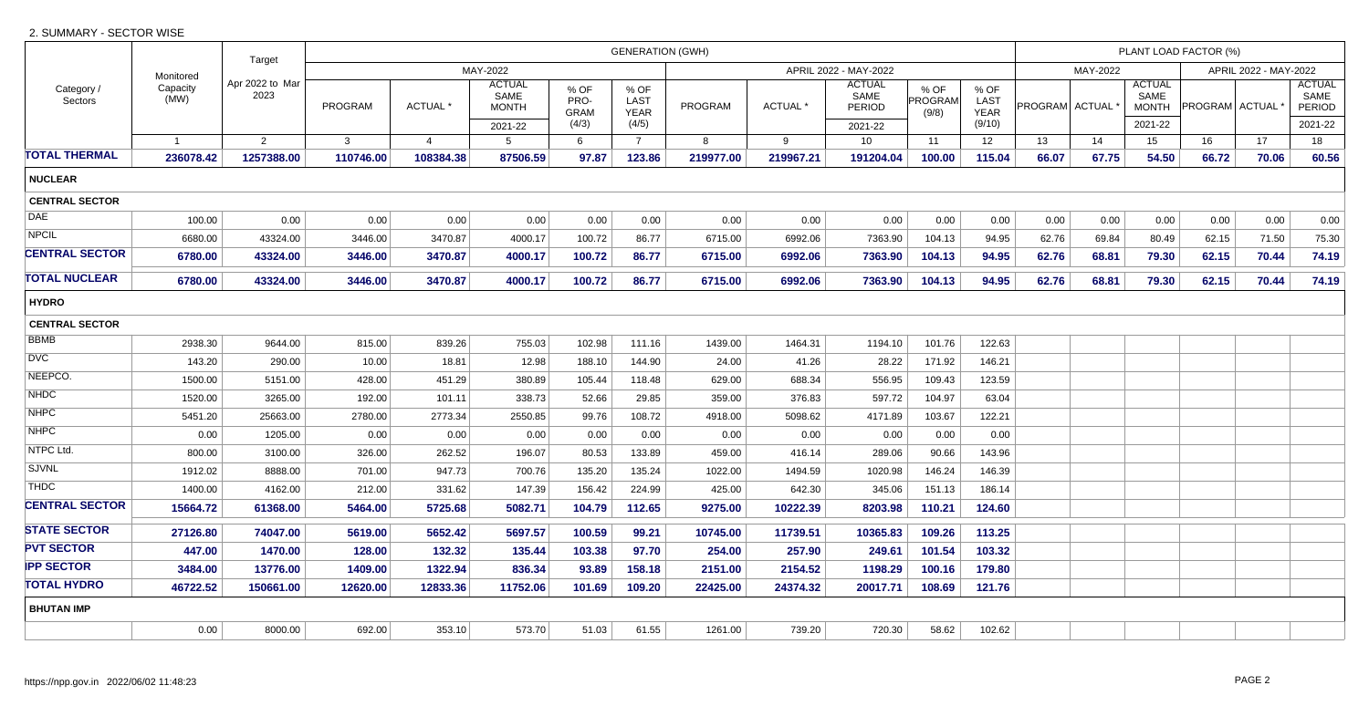## 2. SUMMARY - SECTOR WISE

|                  | Target<br>Apr 2022 to Mar<br>2023 | <b>GENERATION (GWH)</b> |                |                                       |                             |                      |                |                |                                 |                          |                       | PLANT LOAD FACTOR (%) |       |                                       |       |       |                                 |  |
|------------------|-----------------------------------|-------------------------|----------------|---------------------------------------|-----------------------------|----------------------|----------------|----------------|---------------------------------|--------------------------|-----------------------|-----------------------|-------|---------------------------------------|-------|-------|---------------------------------|--|
|                  |                                   | MAY-2022                |                |                                       |                             |                      |                | MAY-2022       |                                 |                          | APRIL 2022 - MAY-2022 |                       |       |                                       |       |       |                                 |  |
| Capacity<br>(MW) |                                   | PROGRAM                 | <b>ACTUAL*</b> | <b>ACTUAL</b><br>SAME<br><b>MONTH</b> | % OF<br>PRO-<br><b>GRAM</b> | % OF<br>LAST<br>YEAR | <b>PROGRAM</b> | <b>ACTUAL*</b> | <b>ACTUAL</b><br>SAME<br>PERIOD | % OF<br>PROGRAM<br>(9/8) | % OF<br>LAST<br>YEAR  |                       |       | <b>ACTUAL</b><br>SAME<br><b>MONTH</b> |       |       | <b>ACTUAL</b><br>SAME<br>PERIOD |  |
|                  |                                   |                         |                | 2021-22                               | (4/3)                       | (4/5)                |                |                | 2021-22                         |                          | (9/10)                |                       |       | 2021-22                               |       |       | 2021-22                         |  |
| $\overline{1}$   | 2                                 | $\mathbf{3}$            | $\overline{4}$ | 5                                     | 6                           | $\overline{7}$       | 8              | 9              | 10                              | 11                       | 12                    | 13                    | 14    | 15                                    | 16    | 17    | 18                              |  |
| 236078.42        |                                   | 110746.00               | 108384.38      | 87506.59                              | 97.87                       | 123.86               | 219977.00      | 219967.21      | 191204.04                       | 100.00                   | 115.04                | 66.07                 | 67.75 | 54.50                                 | 66.72 |       | 60.56                           |  |
|                  |                                   |                         |                |                                       |                             |                      |                |                |                                 |                          |                       |                       |       |                                       |       |       |                                 |  |
|                  |                                   |                         |                |                                       |                             |                      |                |                |                                 |                          |                       |                       |       |                                       |       |       |                                 |  |
| 100.00           | 0.00                              | 0.00                    | 0.00           | 0.00                                  | 0.00                        | 0.00                 | 0.00           | 0.00           | 0.00                            | 0.00                     | 0.00                  | 0.00                  | 0.00  | 0.00                                  | 0.00  | 0.00  | 0.00                            |  |
| 6680.00          | 43324.00                          | 3446.00                 | 3470.87        | 4000.17                               | 100.72                      | 86.77                | 6715.00        | 6992.06        | 7363.90                         | 104.13                   | 94.95                 | 62.76                 | 69.84 | 80.49                                 | 62.15 | 71.50 | 75.30                           |  |
| 6780.00          | 43324.00                          | 3446.00                 | 3470.87        | 4000.17                               | 100.72                      | 86.77                | 6715.00        | 6992.06        | 7363.90                         | 104.13                   | 94.95                 | 62.76                 | 68.81 | 79.30                                 | 62.15 | 70.44 | 74.19                           |  |
| 6780.00          | 43324.00                          | 3446.00                 | 3470.87        | 4000.17                               | 100.72                      | 86.77                | 6715.00        | 6992.06        | 7363.90                         | 104.13                   | 94.95                 | 62.76                 | 68.81 | 79.30                                 | 62.15 | 70.44 | 74.19                           |  |
| <b>HYDRO</b>     |                                   |                         |                |                                       |                             |                      |                |                |                                 |                          |                       |                       |       |                                       |       |       |                                 |  |
|                  |                                   |                         |                |                                       |                             |                      |                |                |                                 |                          |                       |                       |       |                                       |       |       |                                 |  |
| 2938.30          | 9644.00                           | 815.00                  | 839.26         | 755.03                                | 102.98                      | 111.16               | 1439.00        | 1464.31        | 1194.10                         | 101.76                   | 122.63                |                       |       |                                       |       |       |                                 |  |
| 143.20           | 290.00                            | 10.00                   | 18.81          | 12.98                                 | 188.10                      | 144.90               | 24.00          | 41.26          | 28.22                           | 171.92                   | 146.21                |                       |       |                                       |       |       |                                 |  |
| 1500.00          | 5151.00                           | 428.00                  | 451.29         | 380.89                                | 105.44                      | 118.48               | 629.00         | 688.34         | 556.95                          | 109.43                   | 123.59                |                       |       |                                       |       |       |                                 |  |
| 1520.00          | 3265.00                           | 192.00                  | 101.11         | 338.73                                | 52.66                       | 29.85                | 359.00         | 376.83         | 597.72                          | 104.97                   | 63.04                 |                       |       |                                       |       |       |                                 |  |
| 5451.20          | 25663.00                          | 2780.00                 | 2773.34        | 2550.85                               | 99.76                       | 108.72               | 4918.00        | 5098.62        | 4171.89                         | 103.67                   | 122.21                |                       |       |                                       |       |       |                                 |  |
| 0.00             | 1205.00                           | 0.00                    | 0.00           | 0.00                                  | 0.00                        | 0.00                 | 0.00           | 0.00           | 0.00                            | 0.00                     | 0.00                  |                       |       |                                       |       |       |                                 |  |
| 800.00           | 3100.00                           | 326.00                  | 262.52         | 196.07                                | 80.53                       | 133.89               | 459.00         | 416.14         | 289.06                          | 90.66                    | 143.96                |                       |       |                                       |       |       |                                 |  |
| 1912.02          | 8888.00                           | 701.00                  | 947.73         | 700.76                                | 135.20                      | 135.24               | 1022.00        | 1494.59        | 1020.98                         | 146.24                   | 146.39                |                       |       |                                       |       |       |                                 |  |
| 1400.00          | 4162.00                           | 212.00                  | 331.62         | 147.39                                | 156.42                      | 224.99               | 425.00         | 642.30         | 345.06                          | 151.13                   | 186.14                |                       |       |                                       |       |       |                                 |  |
| 15664.72         | 61368.00                          | 5464.00                 | 5725.68        | 5082.71                               | 104.79                      | 112.65               | 9275.00        | 10222.39       | 8203.98                         | 110.21                   | 124.60                |                       |       |                                       |       |       |                                 |  |
| 27126.80         | 74047.00                          | 5619.00                 | 5652.42        | 5697.57                               | 100.59                      | 99.21                | 10745.00       | 11739.51       | 10365.83                        | 109.26                   | 113.25                |                       |       |                                       |       |       |                                 |  |
| 447.00           | 1470.00                           | 128.00                  | 132.32         | 135.44                                | 103.38                      | 97.70                | 254.00         | 257.90         | 249.61                          | 101.54                   | 103.32                |                       |       |                                       |       |       |                                 |  |
| 3484.00          | 13776.00                          | 1409.00                 | 1322.94        | 836.34                                | 93.89                       | 158.18               | 2151.00        | 2154.52        | 1198.29                         | 100.16                   | 179.80                |                       |       |                                       |       |       |                                 |  |
| 46722.52         | 150661.00                         | 12620.00                | 12833.36       | 11752.06                              | 101.69                      | 109.20               | 22425.00       | 24374.32       | 20017.71                        | 108.69                   | 121.76                |                       |       |                                       |       |       |                                 |  |
|                  |                                   |                         |                |                                       |                             |                      |                |                |                                 |                          |                       |                       |       |                                       |       |       |                                 |  |
| 0.00             | 8000.00                           | 692.00                  | 353.10         | 573.70                                | 51.03                       | 61.55                | 1261.00        | 739.20         | 720.30                          | 58.62                    | 102.62                |                       |       |                                       |       |       |                                 |  |
|                  | Monitored                         | 1257388.00              |                |                                       |                             |                      |                |                |                                 | APRIL 2022 - MAY-2022    |                       |                       |       | PROGRAM ACTUAL <sup>'</sup>           |       |       | PROGRAM ACTUAL<br>70.06         |  |